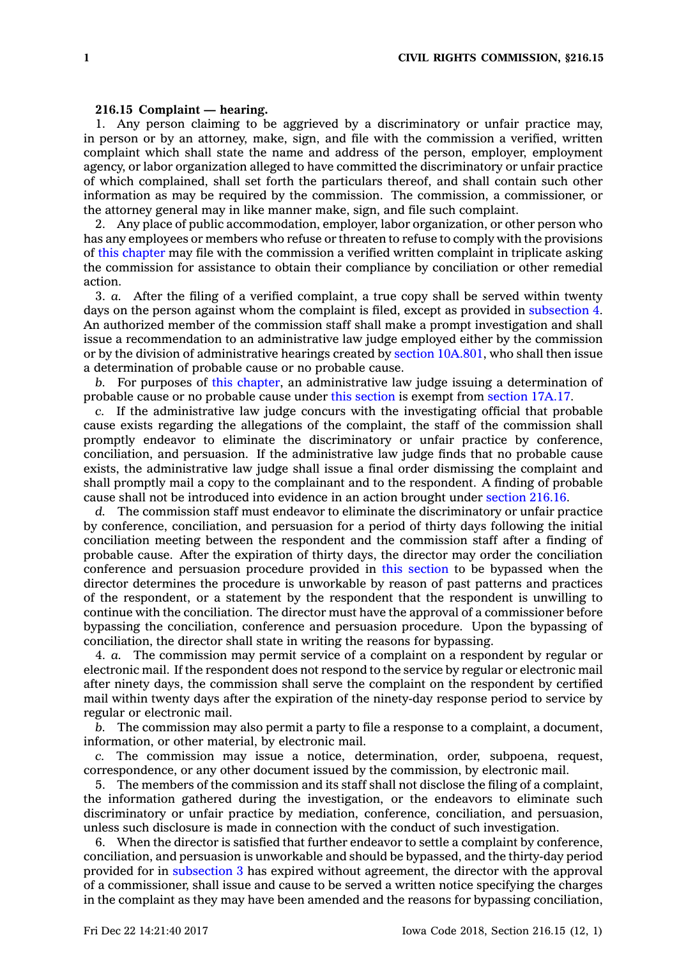## **216.15 Complaint —hearing.**

1. Any person claiming to be aggrieved by <sup>a</sup> discriminatory or unfair practice may, in person or by an attorney, make, sign, and file with the commission <sup>a</sup> verified, written complaint which shall state the name and address of the person, employer, employment agency, or labor organization alleged to have committed the discriminatory or unfair practice of which complained, shall set forth the particulars thereof, and shall contain such other information as may be required by the commission. The commission, <sup>a</sup> commissioner, or the attorney general may in like manner make, sign, and file such complaint.

2. Any place of public accommodation, employer, labor organization, or other person who has any employees or members who refuse or threaten to refuse to comply with the provisions of this [chapter](https://www.legis.iowa.gov/docs/code//216.pdf) may file with the commission <sup>a</sup> verified written complaint in triplicate asking the commission for assistance to obtain their compliance by conciliation or other remedial action.

3. *a.* After the filing of <sup>a</sup> verified complaint, <sup>a</sup> true copy shall be served within twenty days on the person against whom the complaint is filed, except as provided in [subsection](https://www.legis.iowa.gov/docs/code/216.15.pdf) 4. An authorized member of the commission staff shall make <sup>a</sup> prompt investigation and shall issue <sup>a</sup> recommendation to an administrative law judge employed either by the commission or by the division of administrative hearings created by section [10A.801](https://www.legis.iowa.gov/docs/code/10A.801.pdf), who shall then issue <sup>a</sup> determination of probable cause or no probable cause.

*b.* For purposes of this [chapter](https://www.legis.iowa.gov/docs/code//216.pdf), an administrative law judge issuing <sup>a</sup> determination of probable cause or no probable cause under this [section](https://www.legis.iowa.gov/docs/code/216.15.pdf) is exempt from [section](https://www.legis.iowa.gov/docs/code/17A.17.pdf) 17A.17.

*c.* If the administrative law judge concurs with the investigating official that probable cause exists regarding the allegations of the complaint, the staff of the commission shall promptly endeavor to eliminate the discriminatory or unfair practice by conference, conciliation, and persuasion. If the administrative law judge finds that no probable cause exists, the administrative law judge shall issue <sup>a</sup> final order dismissing the complaint and shall promptly mail <sup>a</sup> copy to the complainant and to the respondent. A finding of probable cause shall not be introduced into evidence in an action brought under [section](https://www.legis.iowa.gov/docs/code/216.16.pdf) 216.16.

*d.* The commission staff must endeavor to eliminate the discriminatory or unfair practice by conference, conciliation, and persuasion for <sup>a</sup> period of thirty days following the initial conciliation meeting between the respondent and the commission staff after <sup>a</sup> finding of probable cause. After the expiration of thirty days, the director may order the conciliation conference and persuasion procedure provided in this [section](https://www.legis.iowa.gov/docs/code/216.15.pdf) to be bypassed when the director determines the procedure is unworkable by reason of past patterns and practices of the respondent, or <sup>a</sup> statement by the respondent that the respondent is unwilling to continue with the conciliation. The director must have the approval of <sup>a</sup> commissioner before bypassing the conciliation, conference and persuasion procedure. Upon the bypassing of conciliation, the director shall state in writing the reasons for bypassing.

4. *a.* The commission may permit service of <sup>a</sup> complaint on <sup>a</sup> respondent by regular or electronic mail. If the respondent does not respond to the service by regular or electronic mail after ninety days, the commission shall serve the complaint on the respondent by certified mail within twenty days after the expiration of the ninety-day response period to service by regular or electronic mail.

*b.* The commission may also permit <sup>a</sup> party to file <sup>a</sup> response to <sup>a</sup> complaint, <sup>a</sup> document, information, or other material, by electronic mail.

*c.* The commission may issue <sup>a</sup> notice, determination, order, subpoena, request, correspondence, or any other document issued by the commission, by electronic mail.

5. The members of the commission and its staff shall not disclose the filing of <sup>a</sup> complaint, the information gathered during the investigation, or the endeavors to eliminate such discriminatory or unfair practice by mediation, conference, conciliation, and persuasion, unless such disclosure is made in connection with the conduct of such investigation.

6. When the director is satisfied that further endeavor to settle <sup>a</sup> complaint by conference, conciliation, and persuasion is unworkable and should be bypassed, and the thirty-day period provided for in [subsection](https://www.legis.iowa.gov/docs/code/216.15.pdf) 3 has expired without agreement, the director with the approval of <sup>a</sup> commissioner, shall issue and cause to be served <sup>a</sup> written notice specifying the charges in the complaint as they may have been amended and the reasons for bypassing conciliation,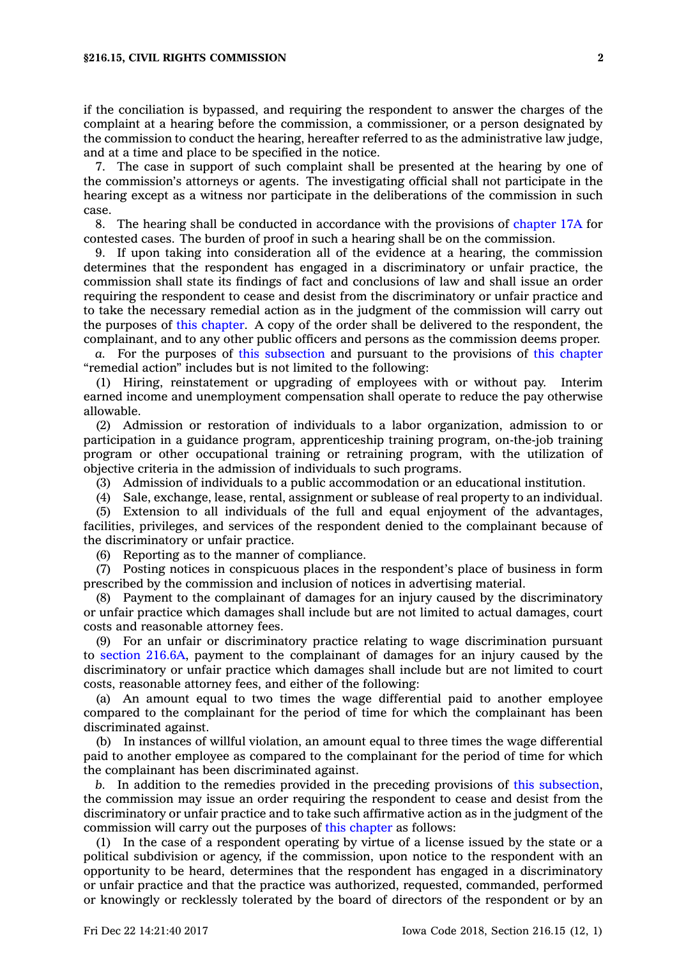if the conciliation is bypassed, and requiring the respondent to answer the charges of the complaint at <sup>a</sup> hearing before the commission, <sup>a</sup> commissioner, or <sup>a</sup> person designated by the commission to conduct the hearing, hereafter referred to as the administrative law judge, and at <sup>a</sup> time and place to be specified in the notice.

7. The case in support of such complaint shall be presented at the hearing by one of the commission's attorneys or agents. The investigating official shall not participate in the hearing except as <sup>a</sup> witness nor participate in the deliberations of the commission in such case.

8. The hearing shall be conducted in accordance with the provisions of [chapter](https://www.legis.iowa.gov/docs/code//17A.pdf) 17A for contested cases. The burden of proof in such <sup>a</sup> hearing shall be on the commission.

9. If upon taking into consideration all of the evidence at <sup>a</sup> hearing, the commission determines that the respondent has engaged in <sup>a</sup> discriminatory or unfair practice, the commission shall state its findings of fact and conclusions of law and shall issue an order requiring the respondent to cease and desist from the discriminatory or unfair practice and to take the necessary remedial action as in the judgment of the commission will carry out the purposes of this [chapter](https://www.legis.iowa.gov/docs/code//216.pdf). A copy of the order shall be delivered to the respondent, the complainant, and to any other public officers and persons as the commission deems proper.

*a.* For the purposes of this [subsection](https://www.legis.iowa.gov/docs/code/216.15.pdf) and pursuant to the provisions of this [chapter](https://www.legis.iowa.gov/docs/code//216.pdf) "remedial action" includes but is not limited to the following:

(1) Hiring, reinstatement or upgrading of employees with or without pay. Interim earned income and unemployment compensation shall operate to reduce the pay otherwise allowable.

(2) Admission or restoration of individuals to <sup>a</sup> labor organization, admission to or participation in <sup>a</sup> guidance program, apprenticeship training program, on-the-job training program or other occupational training or retraining program, with the utilization of objective criteria in the admission of individuals to such programs.

(3) Admission of individuals to <sup>a</sup> public accommodation or an educational institution.

(4) Sale, exchange, lease, rental, assignment or sublease of real property to an individual.

(5) Extension to all individuals of the full and equal enjoyment of the advantages, facilities, privileges, and services of the respondent denied to the complainant because of the discriminatory or unfair practice.

(6) Reporting as to the manner of compliance.

(7) Posting notices in conspicuous places in the respondent's place of business in form prescribed by the commission and inclusion of notices in advertising material.

(8) Payment to the complainant of damages for an injury caused by the discriminatory or unfair practice which damages shall include but are not limited to actual damages, court costs and reasonable attorney fees.

(9) For an unfair or discriminatory practice relating to wage discrimination pursuant to section [216.6A](https://www.legis.iowa.gov/docs/code/216.6A.pdf), payment to the complainant of damages for an injury caused by the discriminatory or unfair practice which damages shall include but are not limited to court costs, reasonable attorney fees, and either of the following:

(a) An amount equal to two times the wage differential paid to another employee compared to the complainant for the period of time for which the complainant has been discriminated against.

(b) In instances of willful violation, an amount equal to three times the wage differential paid to another employee as compared to the complainant for the period of time for which the complainant has been discriminated against.

*b.* In addition to the remedies provided in the preceding provisions of this [subsection](https://www.legis.iowa.gov/docs/code/216.15.pdf), the commission may issue an order requiring the respondent to cease and desist from the discriminatory or unfair practice and to take such affirmative action as in the judgment of the commission will carry out the purposes of this [chapter](https://www.legis.iowa.gov/docs/code//216.pdf) as follows:

(1) In the case of <sup>a</sup> respondent operating by virtue of <sup>a</sup> license issued by the state or <sup>a</sup> political subdivision or agency, if the commission, upon notice to the respondent with an opportunity to be heard, determines that the respondent has engaged in <sup>a</sup> discriminatory or unfair practice and that the practice was authorized, requested, commanded, performed or knowingly or recklessly tolerated by the board of directors of the respondent or by an